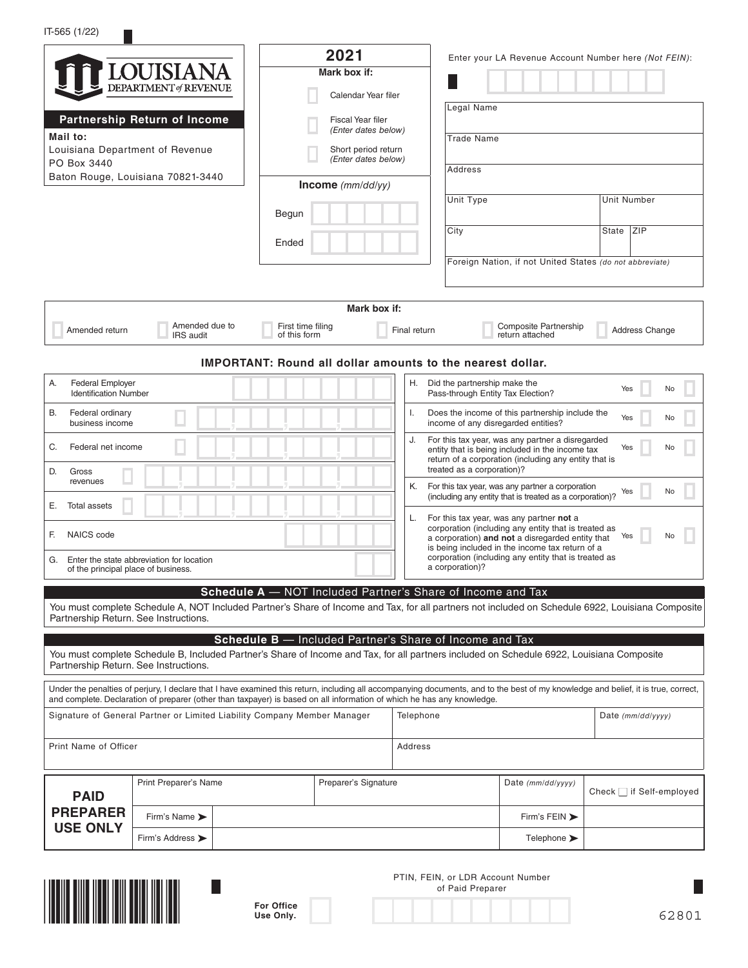## IT-565 (1/22)

 $\Box$ 

|                                                                                        |                                                                          | 2021                                                                                                                                                                                                 |                                                                                                                                                                                                         |                                                                                                     | Enter your LA Revenue Account Number here (Not FEIN):    |                               |                |    |
|----------------------------------------------------------------------------------------|--------------------------------------------------------------------------|------------------------------------------------------------------------------------------------------------------------------------------------------------------------------------------------------|---------------------------------------------------------------------------------------------------------------------------------------------------------------------------------------------------------|-----------------------------------------------------------------------------------------------------|----------------------------------------------------------|-------------------------------|----------------|----|
|                                                                                        | <b>LOUISIANA</b>                                                         | Mark box if:                                                                                                                                                                                         |                                                                                                                                                                                                         |                                                                                                     |                                                          |                               |                |    |
|                                                                                        | <b>DEPARTMENT</b> of REVENUE                                             | Calendar Year filer                                                                                                                                                                                  |                                                                                                                                                                                                         |                                                                                                     |                                                          |                               |                |    |
|                                                                                        | Partnership Return of Income                                             | Fiscal Year filer                                                                                                                                                                                    |                                                                                                                                                                                                         | Legal Name                                                                                          |                                                          |                               |                |    |
| Mail to:                                                                               |                                                                          | (Enter dates below)                                                                                                                                                                                  |                                                                                                                                                                                                         | <b>Trade Name</b>                                                                                   |                                                          |                               |                |    |
| PO Box 3440                                                                            | Louisiana Department of Revenue                                          | Short period return<br>(Enter dates below)                                                                                                                                                           |                                                                                                                                                                                                         |                                                                                                     |                                                          |                               |                |    |
|                                                                                        | Baton Rouge, Louisiana 70821-3440                                        | Income $(mm/dd/yy)$                                                                                                                                                                                  |                                                                                                                                                                                                         | Address                                                                                             |                                                          |                               |                |    |
|                                                                                        |                                                                          |                                                                                                                                                                                                      |                                                                                                                                                                                                         | Unit Type                                                                                           |                                                          | Unit Number                   |                |    |
|                                                                                        |                                                                          | Begun                                                                                                                                                                                                |                                                                                                                                                                                                         |                                                                                                     |                                                          |                               |                |    |
|                                                                                        |                                                                          | Ended                                                                                                                                                                                                |                                                                                                                                                                                                         | City                                                                                                |                                                          | State ZIP                     |                |    |
|                                                                                        |                                                                          |                                                                                                                                                                                                      |                                                                                                                                                                                                         |                                                                                                     | Foreign Nation, if not United States (do not abbreviate) |                               |                |    |
|                                                                                        |                                                                          |                                                                                                                                                                                                      |                                                                                                                                                                                                         |                                                                                                     |                                                          |                               |                |    |
|                                                                                        |                                                                          | Mark box if:                                                                                                                                                                                         |                                                                                                                                                                                                         |                                                                                                     |                                                          |                               |                |    |
|                                                                                        | Amended due to                                                           | First time filing                                                                                                                                                                                    |                                                                                                                                                                                                         |                                                                                                     | <b>Composite Partnership</b>                             |                               |                |    |
| Amended return                                                                         | IRS audit                                                                | of this form                                                                                                                                                                                         | Final return                                                                                                                                                                                            |                                                                                                     | return attached                                          |                               | Address Change |    |
|                                                                                        |                                                                          | <b>IMPORTANT: Round all dollar amounts to the nearest dollar.</b>                                                                                                                                    |                                                                                                                                                                                                         |                                                                                                     |                                                          |                               |                |    |
| А.<br><b>Federal Employer</b><br><b>Identification Number</b>                          |                                                                          |                                                                                                                                                                                                      | H.                                                                                                                                                                                                      | Did the partnership make the<br>Pass-through Entity Tax Election?                                   |                                                          | Yes                           |                | No |
| В.<br>Federal ordinary<br>business income                                              |                                                                          |                                                                                                                                                                                                      | I.                                                                                                                                                                                                      | Does the income of this partnership include the<br>income of any disregarded entities?              |                                                          | Yes                           |                | No |
| Federal net income<br>С.                                                               |                                                                          |                                                                                                                                                                                                      | J.                                                                                                                                                                                                      | For this tax year, was any partner a disregarded<br>entity that is being included in the income tax |                                                          | Yes                           |                | No |
| D.<br>Gross                                                                            |                                                                          |                                                                                                                                                                                                      |                                                                                                                                                                                                         | return of a corporation (including any entity that is<br>treated as a corporation)?                 |                                                          |                               |                |    |
| revenues                                                                               |                                                                          |                                                                                                                                                                                                      | Κ.                                                                                                                                                                                                      | For this tax year, was any partner a corporation                                                    |                                                          | Yes                           |                | No |
| Total assets<br>Е.                                                                     |                                                                          |                                                                                                                                                                                                      |                                                                                                                                                                                                         | (including any entity that is treated as a corporation)?                                            |                                                          |                               |                |    |
| L.<br>NAICS code<br>F.                                                                 |                                                                          |                                                                                                                                                                                                      | For this tax year, was any partner not a<br>corporation (including any entity that is treated as<br>a corporation) and not a disregarded entity that<br>is being included in the income tax return of a |                                                                                                     | Yes                                                      |                               | No             |    |
| Enter the state abbreviation for location<br>G.<br>of the principal place of business. |                                                                          |                                                                                                                                                                                                      |                                                                                                                                                                                                         | corporation (including any entity that is treated as<br>a corporation)?                             |                                                          |                               |                |    |
|                                                                                        | $ScheduleA -$                                                            | NOT Included Partner's Share of Income and Tax                                                                                                                                                       |                                                                                                                                                                                                         |                                                                                                     |                                                          |                               |                |    |
|                                                                                        |                                                                          | You must complete Schedule A, NOT Included Partner's Share of Income and Tax, for all partners not included on Schedule 6922, Louisiana Composite                                                    |                                                                                                                                                                                                         |                                                                                                     |                                                          |                               |                |    |
| Partnership Return. See Instructions.                                                  |                                                                          |                                                                                                                                                                                                      |                                                                                                                                                                                                         |                                                                                                     |                                                          |                               |                |    |
|                                                                                        |                                                                          | Schedule B - Included Partner's Share of Income and Tax<br>You must complete Schedule B, Included Partner's Share of Income and Tax, for all partners included on Schedule 6922, Louisiana Composite |                                                                                                                                                                                                         |                                                                                                     |                                                          |                               |                |    |
| Partnership Return. See Instructions.                                                  |                                                                          |                                                                                                                                                                                                      |                                                                                                                                                                                                         |                                                                                                     |                                                          |                               |                |    |
|                                                                                        |                                                                          | Under the penalties of perjury, I declare that I have examined this return, including all accompanying documents, and to the best of my knowledge and belief, it is true, correct,                   |                                                                                                                                                                                                         |                                                                                                     |                                                          |                               |                |    |
|                                                                                        |                                                                          | and complete. Declaration of preparer (other than taxpayer) is based on all information of which he has any knowledge.                                                                               | Telephone                                                                                                                                                                                               |                                                                                                     |                                                          |                               |                |    |
|                                                                                        | Signature of General Partner or Limited Liability Company Member Manager |                                                                                                                                                                                                      |                                                                                                                                                                                                         |                                                                                                     |                                                          | Date (mm/dd/yyyy)             |                |    |
| Print Name of Officer                                                                  |                                                                          |                                                                                                                                                                                                      | Address                                                                                                                                                                                                 |                                                                                                     |                                                          |                               |                |    |
| <b>PAID</b>                                                                            | Print Preparer's Name                                                    | Preparer's Signature                                                                                                                                                                                 |                                                                                                                                                                                                         |                                                                                                     | Date (mm/dd/yyyy)                                        | Check $\Box$ if Self-employed |                |    |
| <b>PREPARER</b>                                                                        | Firm's Name >                                                            |                                                                                                                                                                                                      |                                                                                                                                                                                                         |                                                                                                     | Firm's FEIN >                                            |                               |                |    |
| <b>USE ONLY</b>                                                                        | Firm's Address >                                                         |                                                                                                                                                                                                      |                                                                                                                                                                                                         |                                                                                                     | Telephone >                                              |                               |                |    |
|                                                                                        |                                                                          |                                                                                                                                                                                                      |                                                                                                                                                                                                         | PTIN, FEIN, or LDR Account Number<br>of Paid Preparer                                               |                                                          |                               |                |    |
|                                                                                        |                                                                          | <b>For Office</b>                                                                                                                                                                                    |                                                                                                                                                                                                         |                                                                                                     |                                                          |                               |                |    |



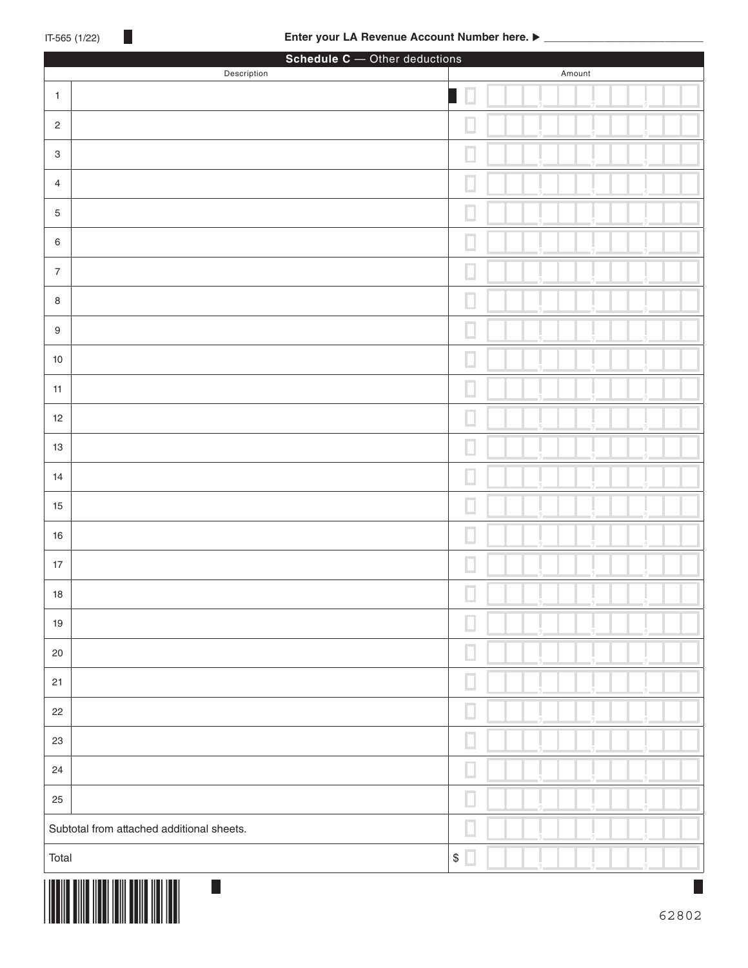|                           | Schedule C - Other deductions<br>Description | Amount                                         |
|---------------------------|----------------------------------------------|------------------------------------------------|
| $\mathbf{1}$              |                                              | Ц                                              |
| $\sqrt{2}$                |                                              | ш                                              |
|                           |                                              |                                                |
| $\ensuremath{\mathsf{3}}$ |                                              | ш                                              |
| $\overline{4}$            |                                              | ш                                              |
| $\sqrt{5}$                |                                              | ш                                              |
| $\,6\,$                   |                                              | ш                                              |
| $\sqrt{ }$                |                                              | ш                                              |
| $\,8\,$                   |                                              | ш                                              |
| $\boldsymbol{9}$          |                                              |                                                |
| $10$                      |                                              |                                                |
| 11                        |                                              |                                                |
| 12                        |                                              |                                                |
| 13                        |                                              |                                                |
| 14                        |                                              |                                                |
| 15                        |                                              |                                                |
| 16                        |                                              |                                                |
|                           |                                              | ш                                              |
| $17$                      |                                              | u                                              |
| $18$                      |                                              | П                                              |
| $19$                      |                                              | ш                                              |
| $20\,$                    |                                              | ш                                              |
| 21                        |                                              | ш                                              |
| 22                        |                                              | ш                                              |
| 23                        |                                              | ш                                              |
| 24                        |                                              | ш                                              |
| 25                        |                                              | ш                                              |
|                           | Subtotal from attached additional sheets.    | ш                                              |
| Total                     |                                              | $\, \, \raisebox{12pt}{$\scriptstyle \$}$<br>ш |
|                           | $\Box$                                       |                                                |

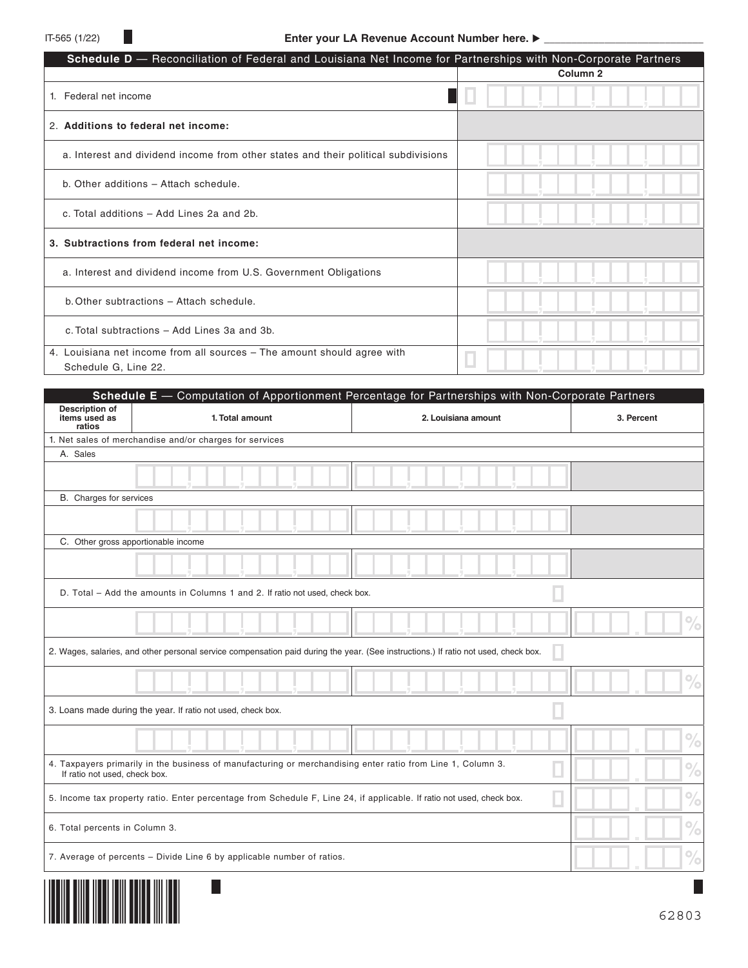| Schedule D - Reconciliation of Federal and Louisiana Net Income for Partnerships with Non-Corporate Partners |                     |
|--------------------------------------------------------------------------------------------------------------|---------------------|
|                                                                                                              | Column <sub>2</sub> |
| 1. Federal net income                                                                                        |                     |
| 2. Additions to federal net income:                                                                          |                     |
| a. Interest and dividend income from other states and their political subdivisions                           |                     |
| b. Other additions - Attach schedule.                                                                        |                     |
| c. Total additions - Add Lines 2a and 2b.                                                                    |                     |
| 3. Subtractions from federal net income:                                                                     |                     |
| a. Interest and dividend income from U.S. Government Obligations                                             |                     |
| b. Other subtractions - Attach schedule.                                                                     |                     |
| c. Total subtractions - Add Lines 3a and 3b.                                                                 |                     |
| 4. Louisiana net income from all sources – The amount should agree with<br>Schedule G, Line 22.              |                     |

|                                           | Schedule E - Computation of Apportionment Percentage for Partnerships with Non-Corporate Partners                                   |                     |               |
|-------------------------------------------|-------------------------------------------------------------------------------------------------------------------------------------|---------------------|---------------|
| Description of<br>items used as<br>ratios | 1. Total amount                                                                                                                     | 2. Louisiana amount | 3. Percent    |
|                                           | 1. Net sales of merchandise and/or charges for services                                                                             |                     |               |
| A. Sales                                  |                                                                                                                                     |                     |               |
|                                           |                                                                                                                                     |                     |               |
| B. Charges for services                   |                                                                                                                                     |                     |               |
|                                           |                                                                                                                                     |                     |               |
| C. Other gross apportionable income       |                                                                                                                                     |                     |               |
|                                           |                                                                                                                                     |                     |               |
|                                           | D. Total - Add the amounts in Columns 1 and 2. If ratio not used, check box.                                                        |                     |               |
|                                           |                                                                                                                                     |                     | $\frac{1}{2}$ |
|                                           | 2. Wages, salaries, and other personal service compensation paid during the year. (See instructions.) If ratio not used, check box. |                     |               |
|                                           |                                                                                                                                     |                     | $\frac{1}{2}$ |
|                                           | 3. Loans made during the year. If ratio not used, check box.                                                                        |                     |               |
|                                           |                                                                                                                                     |                     | $\%$          |
| If ratio not used, check box.             | 4. Taxpayers primarily in the business of manufacturing or merchandising enter ratio from Line 1, Column 3.                         |                     | ℅             |
|                                           | 5. Income tax property ratio. Enter percentage from Schedule F, Line 24, if applicable. If ratio not used, check box.               |                     | $\frac{1}{2}$ |
| 6. Total percents in Column 3.            |                                                                                                                                     |                     | $\frac{1}{2}$ |
|                                           | 7. Average of percents - Divide Line 6 by applicable number of ratios.                                                              |                     | $\%$          |
|                                           |                                                                                                                                     |                     |               |

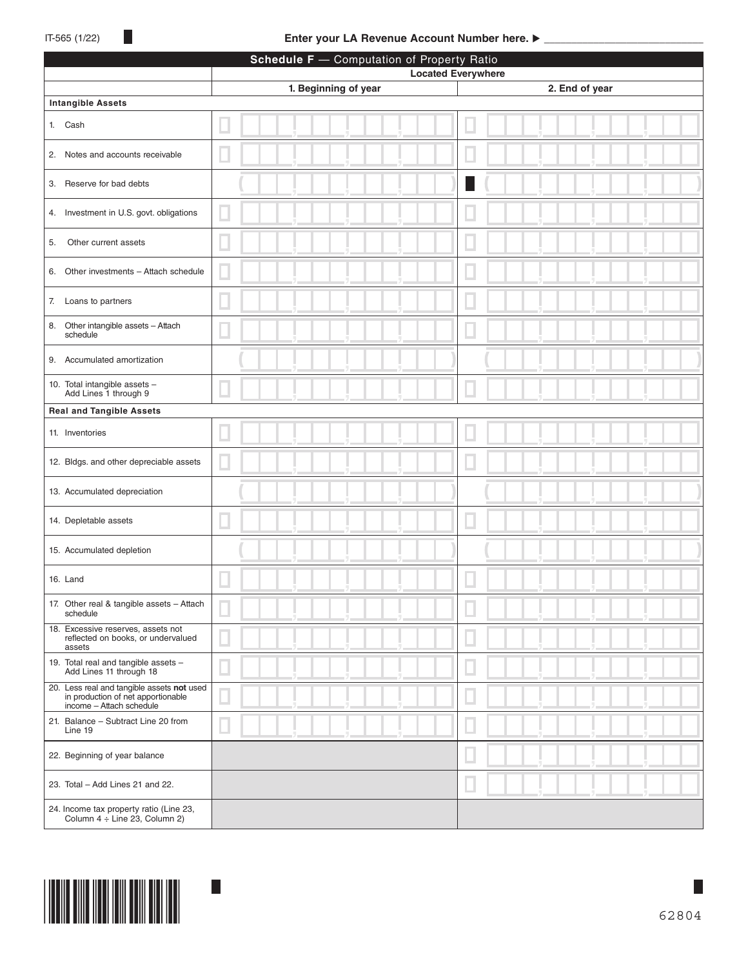## IT-565 (1/22) **Enter your LA Revenue Account Number here. ▶**

| Schedule F - Computation of Property Ratio                                                                   |                      |                           |  |  |
|--------------------------------------------------------------------------------------------------------------|----------------------|---------------------------|--|--|
|                                                                                                              |                      | <b>Located Everywhere</b> |  |  |
| <b>Intangible Assets</b>                                                                                     | 1. Beginning of year | 2. End of year            |  |  |
|                                                                                                              |                      |                           |  |  |
| 1. Cash                                                                                                      |                      |                           |  |  |
| 2. Notes and accounts receivable                                                                             |                      |                           |  |  |
| 3. Reserve for bad debts                                                                                     |                      |                           |  |  |
| 4. Investment in U.S. govt. obligations                                                                      |                      |                           |  |  |
| Other current assets<br>5.                                                                                   |                      |                           |  |  |
| Other investments - Attach schedule<br>6.                                                                    |                      |                           |  |  |
| Loans to partners<br>7.                                                                                      |                      |                           |  |  |
| Other intangible assets - Attach<br>8.<br>schedule                                                           |                      |                           |  |  |
| 9. Accumulated amortization                                                                                  |                      |                           |  |  |
| 10. Total intangible assets -<br>Add Lines 1 through 9                                                       |                      |                           |  |  |
| <b>Real and Tangible Assets</b>                                                                              |                      |                           |  |  |
| 11. Inventories                                                                                              |                      |                           |  |  |
| 12. Bldgs. and other depreciable assets                                                                      |                      |                           |  |  |
| 13. Accumulated depreciation                                                                                 |                      |                           |  |  |
| 14. Depletable assets                                                                                        |                      |                           |  |  |
| 15. Accumulated depletion                                                                                    |                      |                           |  |  |
| 16. Land                                                                                                     |                      |                           |  |  |
| 17. Other real & tangible assets - Attach<br>schedule                                                        |                      |                           |  |  |
| 18. Excessive reserves, assets not<br>reflected on books, or undervalued<br>assets                           |                      |                           |  |  |
| 19. Total real and tangible assets -<br>Add Lines 11 through 18                                              |                      |                           |  |  |
| 20. Less real and tangible assets not used<br>in production of net apportionable<br>income - Attach schedule |                      |                           |  |  |
| 21. Balance - Subtract Line 20 from<br>Line 19                                                               |                      |                           |  |  |
| 22. Beginning of year balance                                                                                |                      |                           |  |  |
| 23. Total - Add Lines 21 and 22.                                                                             |                      |                           |  |  |
| 24. Income tax property ratio (Line 23,<br>Column 4 ÷ Line 23, Column 2)                                     |                      |                           |  |  |

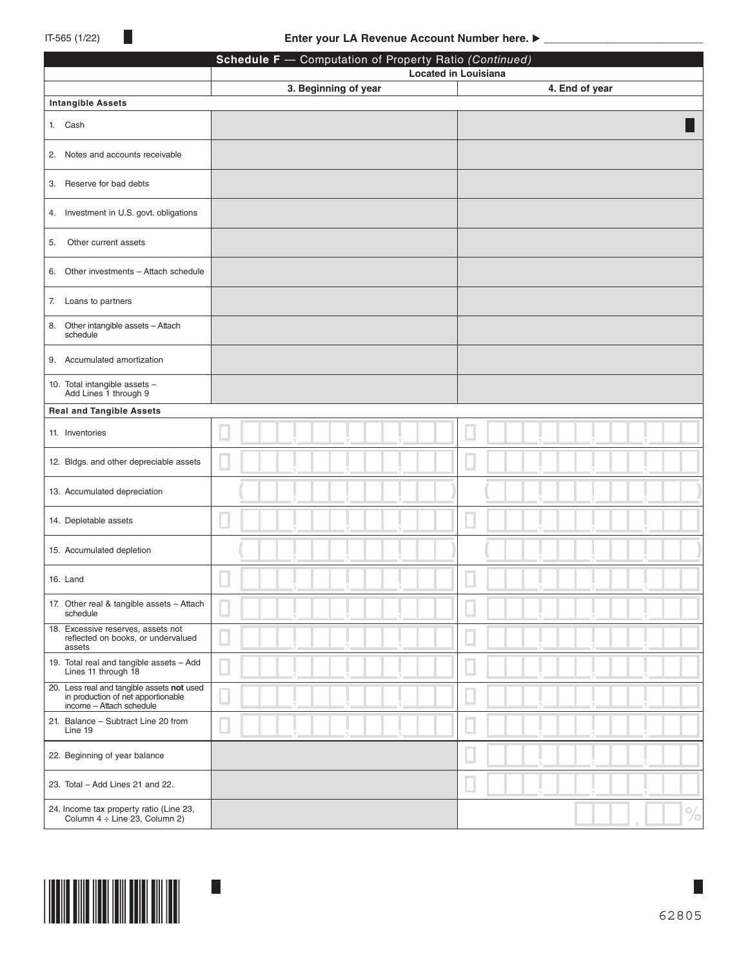|                                                                                                              | Schedule F - Computation of Property Ratio (Continued) |                                               |  |  |
|--------------------------------------------------------------------------------------------------------------|--------------------------------------------------------|-----------------------------------------------|--|--|
|                                                                                                              | 3. Beginning of year                                   | <b>Located in Louisiana</b><br>4. End of year |  |  |
| <b>Intangible Assets</b>                                                                                     |                                                        |                                               |  |  |
| 1. Cash                                                                                                      |                                                        |                                               |  |  |
| 2. Notes and accounts receivable                                                                             |                                                        |                                               |  |  |
| 3. Reserve for bad debts                                                                                     |                                                        |                                               |  |  |
| 4. Investment in U.S. govt. obligations                                                                      |                                                        |                                               |  |  |
| Other current assets<br>5.                                                                                   |                                                        |                                               |  |  |
| 6. Other investments - Attach schedule                                                                       |                                                        |                                               |  |  |
| Loans to partners<br>7.                                                                                      |                                                        |                                               |  |  |
| Other intangible assets - Attach<br>8.<br>schedule                                                           |                                                        |                                               |  |  |
| 9. Accumulated amortization                                                                                  |                                                        |                                               |  |  |
| 10. Total intangible assets -<br>Add Lines 1 through 9                                                       |                                                        |                                               |  |  |
| <b>Real and Tangible Assets</b>                                                                              |                                                        |                                               |  |  |
| 11. Inventories                                                                                              |                                                        |                                               |  |  |
| 12. Bldgs. and other depreciable assets                                                                      |                                                        |                                               |  |  |
| 13. Accumulated depreciation                                                                                 |                                                        |                                               |  |  |
| 14. Depletable assets                                                                                        |                                                        |                                               |  |  |
| 15. Accumulated depletion                                                                                    |                                                        |                                               |  |  |
| 16. Land                                                                                                     |                                                        |                                               |  |  |
| 17. Other real & tangible assets - Attach<br>schedule                                                        |                                                        |                                               |  |  |
| 18. Excessive reserves, assets not<br>reflected on books, or undervalued<br>assets                           |                                                        |                                               |  |  |
| 19. Total real and tangible assets - Add<br>Lines 11 through 18                                              |                                                        |                                               |  |  |
| 20. Less real and tangible assets not used<br>in production of net apportionable<br>income - Attach schedule |                                                        |                                               |  |  |
| 21. Balance - Subtract Line 20 from<br>Line 19                                                               |                                                        |                                               |  |  |
| 22. Beginning of year balance                                                                                |                                                        |                                               |  |  |
| 23. Total - Add Lines 21 and 22.                                                                             |                                                        |                                               |  |  |
| 24. Income tax property ratio (Line 23,<br>Column 4 ÷ Line 23, Column 2)                                     |                                                        | $\%$                                          |  |  |

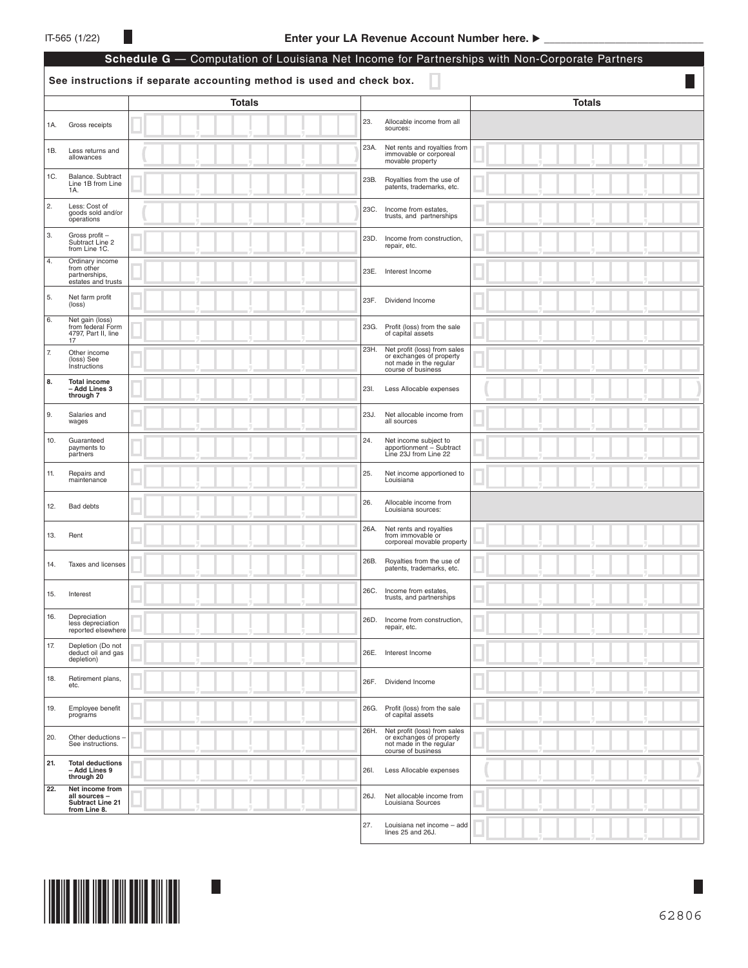|     | Schedule G - Computation of Louisiana Net Income for Partnerships with Non-Corporate Partners |                                                                       |      |                                                                                                           |               |
|-----|-----------------------------------------------------------------------------------------------|-----------------------------------------------------------------------|------|-----------------------------------------------------------------------------------------------------------|---------------|
|     |                                                                                               | See instructions if separate accounting method is used and check box. |      |                                                                                                           |               |
|     |                                                                                               | <b>Totals</b>                                                         |      |                                                                                                           | <b>Totals</b> |
| 1A. | Gross receipts                                                                                |                                                                       | 23.  | Allocable income from all<br>sources:                                                                     |               |
| 1B. | Less returns and<br>allowances                                                                |                                                                       | 23A. | Net rents and royalties from<br>immovable or corporeal<br>movable property                                |               |
| 1C. | Balance. Subtract<br>Line 1B from Line<br>1A.                                                 |                                                                       | 23B. | Royalties from the use of<br>patents, trademarks, etc.                                                    |               |
| 2.  | Less: Cost of<br>goods sold and/or<br>operations                                              |                                                                       | 23C. | Income from estates,<br>trusts, and partnerships                                                          |               |
| 3.  | Gross profit -<br>Subtract Line 2<br>from Line 1C.                                            |                                                                       | 23D. | Income from construction,<br>repair, etc.                                                                 |               |
| 4.  | Ordinary income<br>from other<br>partnerships,<br>estates and trusts                          |                                                                       | 23E. | Interest Income                                                                                           |               |
| 5.  | Net farm profit<br>(loss)                                                                     |                                                                       | 23F. | Dividend Income                                                                                           |               |
| 6.  | Net gain (loss)<br>from federal Form<br>4797, Part II, line<br>17                             |                                                                       | 23G. | Profit (loss) from the sale<br>of capital assets                                                          |               |
| 7.  | Other income<br>(loss) See<br>Instructions                                                    |                                                                       | 23H. | Net profit (loss) from sales<br>or exchanges of property<br>not made in the regular<br>course of business |               |
| 8.  | <b>Total income</b><br>- Add Lines 3<br>through 7                                             |                                                                       | 23I. | Less Allocable expenses                                                                                   |               |
| 9.  | Salaries and<br>wages                                                                         |                                                                       | 23J. | Net allocable income from<br>all sources                                                                  |               |
| 10. | Guaranteed<br>payments to<br>partners                                                         |                                                                       | 24.  | Net income subject to<br>apportionment - Subtract<br>Line 23J from Line 22                                |               |
| 11. | Repairs and<br>maintenance                                                                    |                                                                       | 25.  | Net income apportioned to<br>Louisiana                                                                    |               |
| 12. | Bad debts                                                                                     |                                                                       | 26.  | Allocable income from<br>Louisiana sources:                                                               |               |
| 13. | Rent                                                                                          |                                                                       | 26A. | Net rents and royalties<br>from immovable or<br>corporeal movable property                                |               |
| 14. | Taxes and licenses                                                                            |                                                                       | 26B. | Royalties from the use of<br>patents, trademarks, etc.                                                    |               |
| 15. | Interest                                                                                      |                                                                       |      | 26C. Income from estates,<br>trusts, and partnerships                                                     |               |
| 16. | Depreciation<br>less depreciation<br>reported elsewhere                                       |                                                                       | 26D. | Income from construction,<br>repair, etc.                                                                 |               |
| 17. | Depletion (Do not<br>deduct oil and gas<br>depletion)                                         |                                                                       | 26E. | Interest Income                                                                                           |               |
| 18. | Retirement plans,<br>etc.                                                                     |                                                                       | 26F. | Dividend Income                                                                                           |               |
| 19. | Employee benefit<br>programs                                                                  |                                                                       | 26G. | Profit (loss) from the sale<br>of capital assets                                                          |               |
| 20. | Other deductions -<br>See instructions.                                                       |                                                                       | 26H. | Net profit (loss) from sales<br>or exchanges of property<br>not made in the regular<br>course of business |               |
| 21. | <b>Total deductions</b><br>- Add Lines 9<br>through 20                                        |                                                                       | 26I. | Less Allocable expenses                                                                                   |               |
| 22. | Net income from<br>all sources -<br>Subtract Line 21<br>from Line 8.                          |                                                                       | 26J. | Net allocable income from<br>Louisiana Sources                                                            |               |
|     |                                                                                               |                                                                       | 27.  | Louisiana net income - add<br>lines 25 and 26J.                                                           |               |

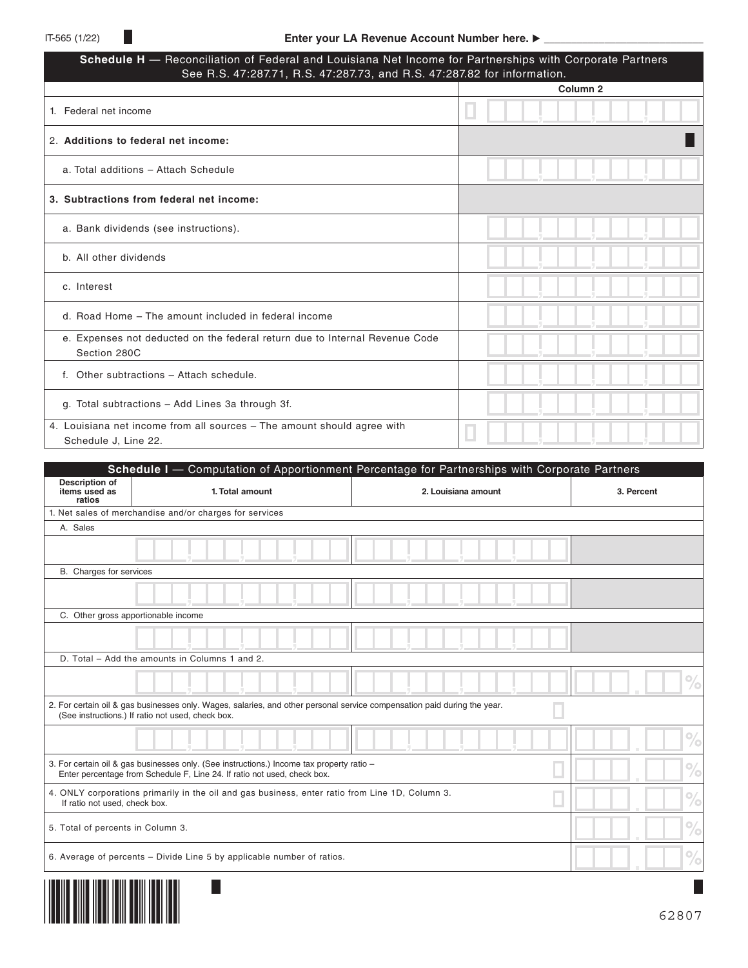| Schedule H - Reconciliation of Federal and Louisiana Net Income for Partnerships with Corporate Partners<br>See R.S. 47:287.71, R.S. 47:287.73, and R.S. 47:287.82 for information. |                     |  |  |  |
|-------------------------------------------------------------------------------------------------------------------------------------------------------------------------------------|---------------------|--|--|--|
|                                                                                                                                                                                     | Column <sub>2</sub> |  |  |  |
| 1. Federal net income                                                                                                                                                               |                     |  |  |  |
| 2. Additions to federal net income:                                                                                                                                                 |                     |  |  |  |
| a. Total additions - Attach Schedule                                                                                                                                                |                     |  |  |  |
| 3. Subtractions from federal net income:                                                                                                                                            |                     |  |  |  |
| a. Bank dividends (see instructions).                                                                                                                                               |                     |  |  |  |
| b. All other dividends                                                                                                                                                              |                     |  |  |  |
| c. Interest                                                                                                                                                                         |                     |  |  |  |
| d. Road Home – The amount included in federal income                                                                                                                                |                     |  |  |  |
| e. Expenses not deducted on the federal return due to Internal Revenue Code<br>Section 280C                                                                                         |                     |  |  |  |
| f. Other subtractions - Attach schedule.                                                                                                                                            |                     |  |  |  |
| g. Total subtractions - Add Lines 3a through 3f.                                                                                                                                    |                     |  |  |  |
| 4. Louisiana net income from all sources – The amount should agree with<br>Schedule J, Line 22.                                                                                     |                     |  |  |  |

|                                           | Schedule I - Computation of Apportionment Percentage for Partnerships with Corporate Partners                                                                                 |                     |               |
|-------------------------------------------|-------------------------------------------------------------------------------------------------------------------------------------------------------------------------------|---------------------|---------------|
| Description of<br>items used as<br>ratios | 1. Total amount                                                                                                                                                               | 2. Louisiana amount | 3. Percent    |
|                                           | 1. Net sales of merchandise and/or charges for services                                                                                                                       |                     |               |
| A. Sales                                  |                                                                                                                                                                               |                     |               |
|                                           |                                                                                                                                                                               |                     |               |
| B. Charges for services                   |                                                                                                                                                                               |                     |               |
|                                           |                                                                                                                                                                               |                     |               |
| C. Other gross apportionable income       |                                                                                                                                                                               |                     |               |
|                                           |                                                                                                                                                                               |                     |               |
|                                           | D. Total - Add the amounts in Columns 1 and 2.                                                                                                                                |                     |               |
|                                           |                                                                                                                                                                               |                     | ℅             |
|                                           | 2. For certain oil & gas businesses only. Wages, salaries, and other personal service compensation paid during the year.<br>(See instructions.) If ratio not used, check box. |                     |               |
|                                           |                                                                                                                                                                               |                     | $\frac{1}{2}$ |
|                                           | 3. For certain oil & gas businesses only. (See instructions.) Income tax property ratio -<br>Enter percentage from Schedule F, Line 24. If ratio not used, check box.         |                     | $\%$          |
| If ratio not used, check box.             | 4. ONLY corporations primarily in the oil and gas business, enter ratio from Line 1D, Column 3.                                                                               |                     | $\%$          |
| 5. Total of percents in Column 3.         |                                                                                                                                                                               |                     | $\%$          |
|                                           | 6. Average of percents - Divide Line 5 by applicable number of ratios.                                                                                                        |                     | ℅             |
| IIII IIIIII                               |                                                                                                                                                                               |                     |               |